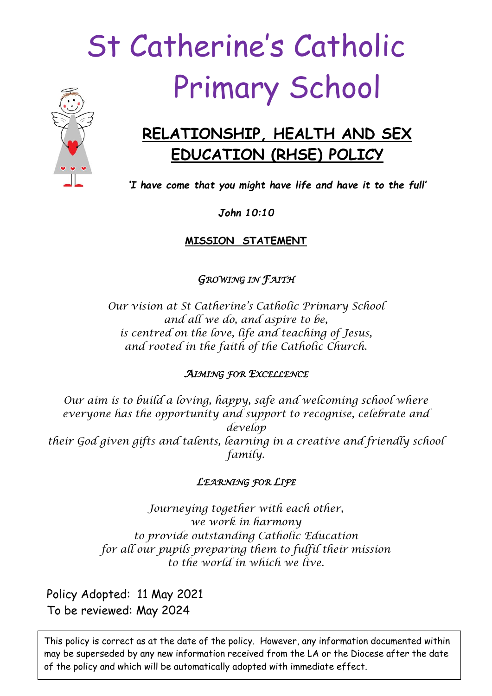# St Catherine's Catholic Primary School



# **RELATIONSHIP, HEALTH AND SEX EDUCATION (RHSE) POLICY**

*'I have come that you might have life and have it to the full'*

*John 10:10*

**MISSION STATEMENT**

*GROWING IN FAITH* 

*Our vision at St Catherine's Catholic Primary School and all we do, and aspire to be, is centred on the love, life and teaching of Jesus, and rooted in the faith of the Catholic Church.*

# *AIMING FOR EXCELLENCE*

*Our aim is to build a loving, happy, safe and welcoming school where everyone has the opportunity and support to recognise, celebrate and develop their God given gifts and talents, learning in a creative and friendly school family.*

# *LEARNING FOR LIFE*

*Journeying together with each other, we work in harmony to provide outstanding Catholic Education for all our pupils preparing them to fulfil their mission to the world in which we live.*

Policy Adopted: 11 May 2021 To be reviewed: May 2024

may be superseded by any new information received from the LA or the Diocese after the date This policy is correct as at the date of the policy. However, any information documented within of the policy and which will be automatically adopted with immediate effect.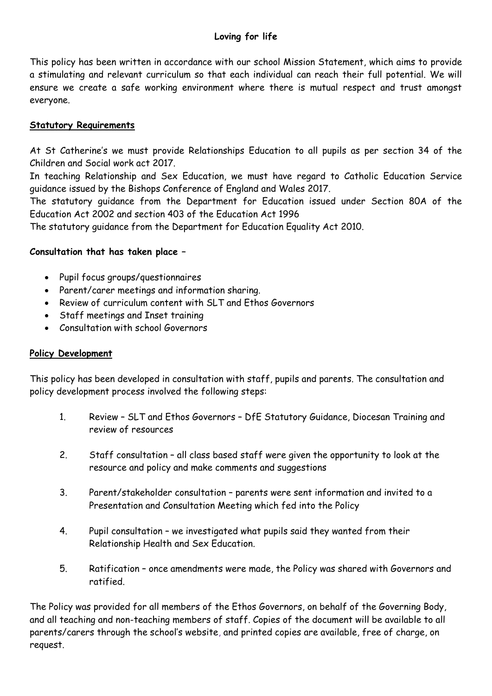# **Loving for life**

This policy has been written in accordance with our school Mission Statement, which aims to provide a stimulating and relevant curriculum so that each individual can reach their full potential. We will ensure we create a safe working environment where there is mutual respect and trust amongst everyone.

# **Statutory Requirements**

At St Catherine's we must provide Relationships Education to all pupils as per section 34 of the Children and Social work act 2017.

In teaching Relationship and Sex Education, we must have regard to Catholic Education Service guidance issued by the Bishops Conference of England and Wales 2017.

The statutory guidance from the Department for Education issued under Section 80A of the Education Act 2002 and section 403 of the Education Act 1996

The statutory guidance from the Department for Education Equality Act 2010.

#### **Consultation that has taken place –**

- Pupil focus groups/questionnaires
- Parent/carer meetings and information sharing.
- Review of curriculum content with SLT and Ethos Governors
- Staff meetings and Inset training
- Consultation with school Governors

#### **Policy Development**

This policy has been developed in consultation with staff, pupils and parents. The consultation and policy development process involved the following steps:

- 1. Review SLT and Ethos Governors DfE Statutory Guidance, Diocesan Training and review of resources
- 2. Staff consultation all class based staff were given the opportunity to look at the resource and policy and make comments and suggestions
- 3. Parent/stakeholder consultation parents were sent information and invited to a Presentation and Consultation Meeting which fed into the Policy
- 4. Pupil consultation we investigated what pupils said they wanted from their Relationship Health and Sex Education.
- 5. Ratification once amendments were made, the Policy was shared with Governors and ratified.

The Policy was provided for all members of the Ethos Governors, on behalf of the Governing Body, and all teaching and non-teaching members of staff. Copies of the document will be available to all parents/carers through the school's website, and printed copies are available, free of charge, on request.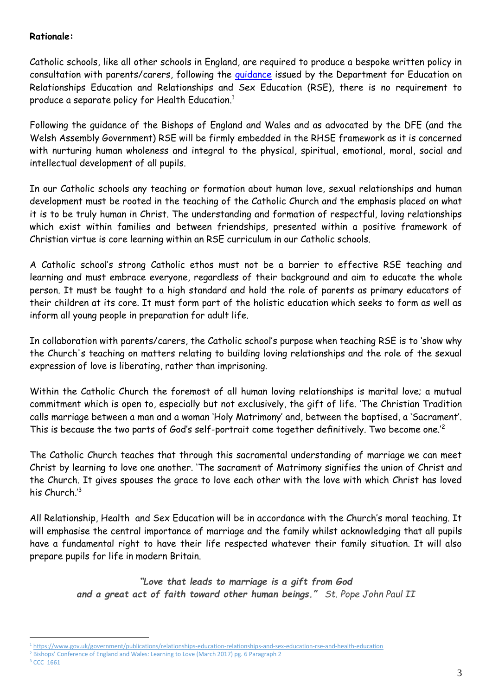#### **Rationale:**

Catholic schools, like all other schools in England, are required to produce a bespoke written policy in consultation with parents/carers, following the [guidance](https://www.gov.uk/government/publications/relationships-education-relationships-and-sex-education-rse-and-health-education) issued by the Department for Education on Relationships Education and Relationships and Sex Education (RSE), there is no requirement to produce a separate policy for Health Education.<sup>1</sup>

Following the guidance of the Bishops of England and Wales and as advocated by the DFE (and the Welsh Assembly Government) RSE will be firmly embedded in the RHSE framework as it is concerned with nurturing human wholeness and integral to the physical, spiritual, emotional, moral, social and intellectual development of all pupils.

In our Catholic schools any teaching or formation about human love, sexual relationships and human development must be rooted in the teaching of the Catholic Church and the emphasis placed on what it is to be truly human in Christ. The understanding and formation of respectful, loving relationships which exist within families and between friendships, presented within a positive framework of Christian virtue is core learning within an RSE curriculum in our Catholic schools.

A Catholic school's strong Catholic ethos must not be a barrier to effective RSE teaching and learning and must embrace everyone, regardless of their background and aim to educate the whole person. It must be taught to a high standard and hold the role of parents as primary educators of their children at its core. It must form part of the holistic education which seeks to form as well as inform all young people in preparation for adult life.

In collaboration with parents/carers, the Catholic school's purpose when teaching RSE is to 'show why the Church's teaching on matters relating to building loving relationships and the role of the sexual expression of love is liberating, rather than imprisoning.

Within the Catholic Church the foremost of all human loving relationships is marital love; a mutual commitment which is open to, especially but not exclusively, the gift of life. 'The Christian Tradition calls marriage between a man and a woman 'Holy Matrimony' and, between the baptised, a 'Sacrament'. This is because the two parts of God's self-portrait come together definitively. Two become one.'<sup>2</sup>

The Catholic Church teaches that through this sacramental understanding of marriage we can meet Christ by learning to love one another. 'The sacrament of Matrimony signifies the union of Christ and the Church. It gives spouses the grace to love each other with the love with which Christ has loved his Church.<sup>13</sup>

All Relationship, Health and Sex Education will be in accordance with the Church's moral teaching. It will emphasise the central importance of marriage and the family whilst acknowledging that all pupils have a fundamental right to have their life respected whatever their family situation. It will also prepare pupils for life in modern Britain.

> *"Love that leads to marriage is a gift from God and a great act of faith toward other human beings." St. Pope John Paul II*

<sup>1</sup> <sup>1</sup> <https://www.gov.uk/government/publications/relationships-education-relationships-and-sex-education-rse-and-health-education>

<sup>&</sup>lt;sup>2</sup> Bishops' Conference of England and Wales: Learning to Love (March 2017) pg. 6 Paragraph 2

<sup>&</sup>lt;sup>3</sup> CCC 1661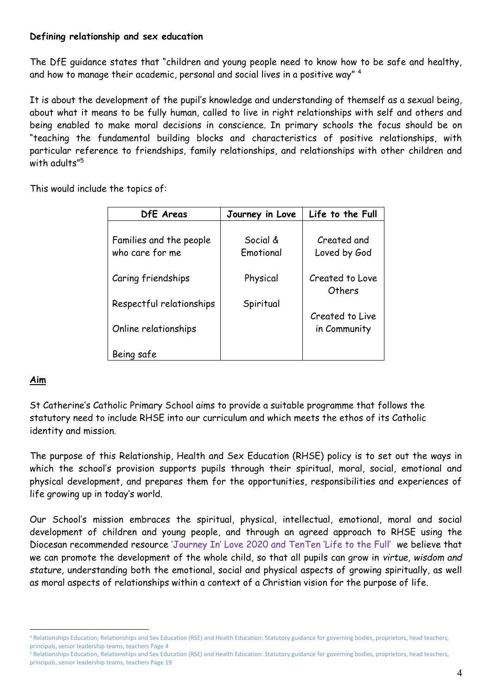#### **Defining relationship and sex education**

The DfE guidance states that "children and young people need to know how to be safe and healthy, and how to manage their academic, personal and social lives in a positive way"<sup>4</sup>

It is about the development of the pupil's knowledge and understanding of themself as a sexual being, about what it means to be fully human, called to live in right relationships with self and others and being enabled to make moral decisions in conscience. In primary schools the focus should be on "teaching the fundamental building blocks and characteristics of positive relationships, with particular reference to friendships, family relationships, and relationships with other children and with adults"<sup>5</sup>

This would include the topics of:

| DfE Areas                                  | Journey in Love       | Life to the Full                |
|--------------------------------------------|-----------------------|---------------------------------|
| Families and the people<br>who care for me | Social &<br>Emotional | Created and<br>Loved by God     |
| Caring friendships                         | Physical              | Created to Love<br>Others       |
| Respectful relationships                   | Spiritual             |                                 |
| Online relationships                       |                       | Created to Live<br>in Community |
| Being safe                                 |                       |                                 |

# **Aim**

1

St Catherine's Catholic Primary School aims to provide a suitable programme that follows the statutory need to include RHSE into our curriculum and which meets the ethos of its Catholic identity and mission.

The purpose of this Relationship, Health and Sex Education (RHSE) policy is to set out the ways in which the school's provision supports pupils through their spiritual, moral, social, emotional and physical development, and prepares them for the opportunities, responsibilities and experiences of life growing up in today's world.

Our School's mission embraces the spiritual, physical, intellectual, emotional, moral and social development of children and young people, and through an agreed approach to RHSE using the Diocesan recommended resource 'Journey In' Love 2020 and TenTen 'Life to the Full' we believe that we can promote the development of the whole child, so that all pupils can grow in *virtue, wisdom and stature,* understanding both the emotional, social and physical aspects of growing spiritually, as well as moral aspects of relationships within a context of a Christian vision for the purpose of life.

<sup>4</sup> Relationships Education, Relationships and Sex Education (RSE) and Health Education: Statutory guidance for governing bodies, proprietors, head teachers, principals, senior leadership teams, teachers Page 4

<sup>&</sup>lt;sup>5</sup> Relationships Education, Relationships and Sex Education (RSE) and Health Education: Statutory guidance for governing bodies, proprietors, head teachers, principals, senior leadership teams, teachers Page 19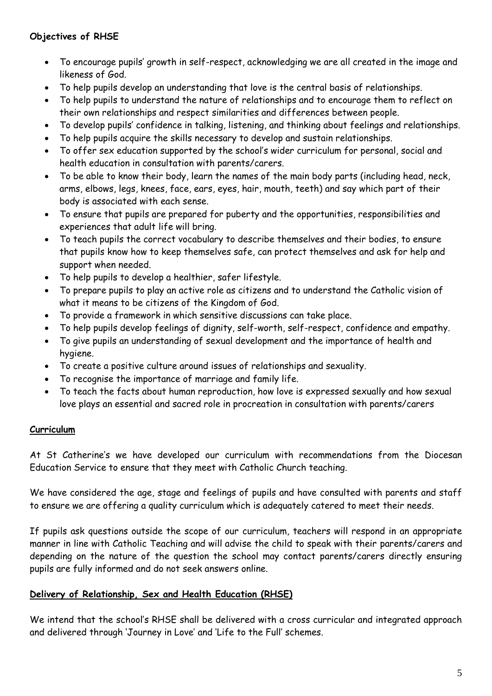# **Objectives of RHSE**

- To encourage pupils' growth in self-respect, acknowledging we are all created in the image and likeness of God.
- To help pupils develop an understanding that love is the central basis of relationships.
- To help pupils to understand the nature of relationships and to encourage them to reflect on their own relationships and respect similarities and differences between people.
- To develop pupils' confidence in talking, listening, and thinking about feelings and relationships.
- To help pupils acquire the skills necessary to develop and sustain relationships.
- To offer sex education supported by the school's wider curriculum for personal, social and health education in consultation with parents/carers.
- To be able to know their body, learn the names of the main body parts (including head, neck, arms, elbows, legs, knees, face, ears, eyes, hair, mouth, teeth) and say which part of their body is associated with each sense.
- To ensure that pupils are prepared for puberty and the opportunities, responsibilities and experiences that adult life will bring.
- To teach pupils the correct vocabulary to describe themselves and their bodies, to ensure that pupils know how to keep themselves safe, can protect themselves and ask for help and support when needed.
- To help pupils to develop a healthier, safer lifestyle.
- To prepare pupils to play an active role as citizens and to understand the Catholic vision of what it means to be citizens of the Kingdom of God.
- To provide a framework in which sensitive discussions can take place.
- To help pupils develop feelings of dignity, self-worth, self-respect, confidence and empathy.
- To give pupils an understanding of sexual development and the importance of health and hygiene.
- To create a positive culture around issues of relationships and sexuality.
- To recognise the importance of marriage and family life.
- To teach the facts about human reproduction, how love is expressed sexually and how sexual love plays an essential and sacred role in procreation in consultation with parents/carers

# **Curriculum**

At St Catherine's we have developed our curriculum with recommendations from the Diocesan Education Service to ensure that they meet with Catholic Church teaching.

We have considered the age, stage and feelings of pupils and have consulted with parents and staff to ensure we are offering a quality curriculum which is adequately catered to meet their needs.

If pupils ask questions outside the scope of our curriculum, teachers will respond in an appropriate manner in line with Catholic Teaching and will advise the child to speak with their parents/carers and depending on the nature of the question the school may contact parents/carers directly ensuring pupils are fully informed and do not seek answers online.

# **Delivery of Relationship, Sex and Health Education (RHSE)**

We intend that the school's RHSE shall be delivered with a cross curricular and integrated approach and delivered through 'Journey in Love' and 'Life to the Full' schemes.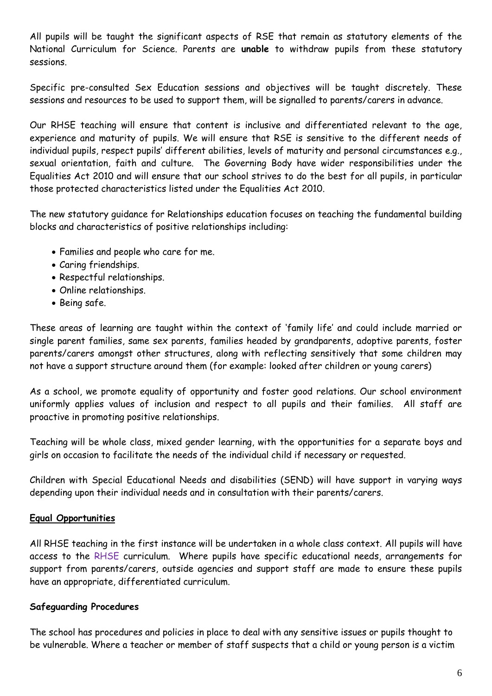All pupils will be taught the significant aspects of RSE that remain as statutory elements of the National Curriculum for Science. Parents are **unable** to withdraw pupils from these statutory sessions.

Specific pre-consulted Sex Education sessions and objectives will be taught discretely. These sessions and resources to be used to support them, will be signalled to parents/carers in advance.

Our RHSE teaching will ensure that content is inclusive and differentiated relevant to the age, experience and maturity of pupils. We will ensure that RSE is sensitive to the different needs of individual pupils, respect pupils' different abilities, levels of maturity and personal circumstances e.g., sexual orientation, faith and culture. The Governing Body have wider responsibilities under the Equalities Act 2010 and will ensure that our school strives to do the best for all pupils, in particular those protected characteristics listed under the Equalities Act 2010.

The new statutory guidance for Relationships education focuses on teaching the fundamental building blocks and characteristics of positive relationships including:

- Families and people who care for me.
- Caring friendships.
- Respectful relationships.
- Online relationships.
- Being safe.

These areas of learning are taught within the context of 'family life' and could include married or single parent families, same sex parents, families headed by grandparents, adoptive parents, foster parents/carers amongst other structures, along with reflecting sensitively that some children may not have a support structure around them (for example: looked after children or young carers)

As a school, we promote equality of opportunity and foster good relations. Our school environment uniformly applies values of inclusion and respect to all pupils and their families. All staff are proactive in promoting positive relationships.

Teaching will be whole class, mixed gender learning, with the opportunities for a separate boys and girls on occasion to facilitate the needs of the individual child if necessary or requested.

Children with Special Educational Needs and disabilities (SEND) will have support in varying ways depending upon their individual needs and in consultation with their parents/carers.

# **Equal Opportunities**

All RHSE teaching in the first instance will be undertaken in a whole class context. All pupils will have access to the RHSE curriculum. Where pupils have specific educational needs, arrangements for support from parents/carers, outside agencies and support staff are made to ensure these pupils have an appropriate, differentiated curriculum.

# **Safeguarding Procedures**

The school has procedures and policies in place to deal with any sensitive issues or pupils thought to be vulnerable. Where a teacher or member of staff suspects that a child or young person is a victim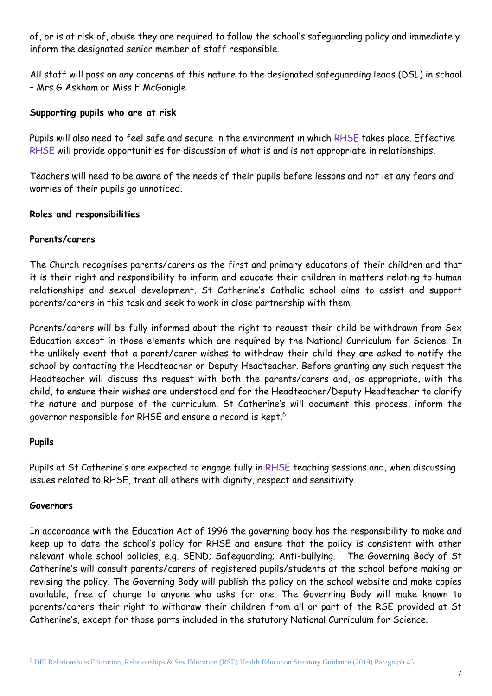of, or is at risk of, abuse they are required to follow the school's safeguarding policy and immediately inform the designated senior member of staff responsible.

All staff will pass on any concerns of this nature to the designated safeguarding leads (DSL) in school – Mrs G Askham or Miss F McGonigle

# **Supporting pupils who are at risk**

Pupils will also need to feel safe and secure in the environment in which RHSE takes place. Effective RHSE will provide opportunities for discussion of what is and is not appropriate in relationships.

Teachers will need to be aware of the needs of their pupils before lessons and not let any fears and worries of their pupils go unnoticed.

#### **Roles and responsibilities**

#### **Parents/carers**

The Church recognises parents/carers as the first and primary educators of their children and that it is their right and responsibility to inform and educate their children in matters relating to human relationships and sexual development. St Catherine's Catholic school aims to assist and support parents/carers in this task and seek to work in close partnership with them.

Parents/carers will be fully informed about the right to request their child be withdrawn from Sex Education except in those elements which are required by the National Curriculum for Science. In the unlikely event that a parent/carer wishes to withdraw their child they are asked to notify the school by contacting the Headteacher or Deputy Headteacher. Before granting any such request the Headteacher will discuss the request with both the parents/carers and, as appropriate, with the child, to ensure their wishes are understood and for the Headteacher/Deputy Headteacher to clarify the nature and purpose of the curriculum. St Catherine's will document this process, inform the governor responsible for RHSE and ensure a record is kept.<sup>6</sup>

#### **Pupils**

Pupils at St Catherine's are expected to engage fully in RHSE teaching sessions and, when discussing issues related to RHSE, treat all others with dignity, respect and sensitivity.

#### **Governors**

1

In accordance with the Education Act of 1996 the governing body has the responsibility to make and keep up to date the school's policy for RHSE and ensure that the policy is consistent with other relevant whole school policies, e.g. SEND; Safeguarding; Anti-bullying. The Governing Body of St Catherine's will consult parents/carers of registered pupils/students at the school before making or revising the policy. The Governing Body will publish the policy on the school website and make copies available, free of charge to anyone who asks for one. The Governing Body will make known to parents/carers their right to withdraw their children from all or part of the RSE provided at St Catherine's, except for those parts included in the statutory National Curriculum for Science.

<sup>6</sup> DfE Relationships Education, Relationships & Sex Education (RSE) Health Education Statutory Guidance (2019) Paragraph 45.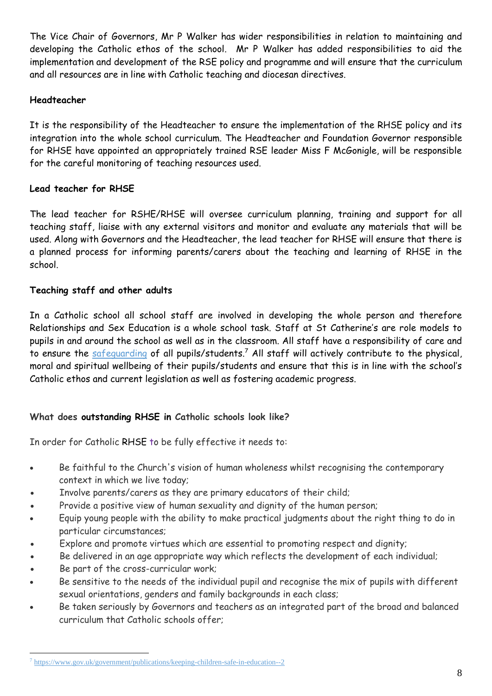The Vice Chair of Governors, Mr P Walker has wider responsibilities in relation to maintaining and developing the Catholic ethos of the school. Mr P Walker has added responsibilities to aid the implementation and development of the RSE policy and programme and will ensure that the curriculum and all resources are in line with Catholic teaching and diocesan directives.

# **Headteacher**

It is the responsibility of the Headteacher to ensure the implementation of the RHSE policy and its integration into the whole school curriculum. The Headteacher and Foundation Governor responsible for RHSE have appointed an appropriately trained RSE leader Miss F McGonigle, will be responsible for the careful monitoring of teaching resources used.

# **Lead teacher for RHSE**

The lead teacher for RSHE/RHSE will oversee curriculum planning, training and support for all teaching staff, liaise with any external visitors and monitor and evaluate any materials that will be used. Along with Governors and the Headteacher, the lead teacher for RHSE will ensure that there is a planned process for informing parents/carers about the teaching and learning of RHSE in the school.

# **Teaching staff and other adults**

In a Catholic school all school staff are involved in developing the whole person and therefore Relationships and Sex Education is a whole school task. Staff at St Catherine's are role models to pupils in and around the school as well as in the classroom. All staff have a responsibility of care and to ensure the [safeguarding](https://www.gov.uk/government/publications/keeping-children-safe-in-education--2) of all pupils/students.<sup>7</sup> All staff will actively contribute to the physical, moral and spiritual wellbeing of their pupils/students and ensure that this is in line with the school's Catholic ethos and current legislation as well as fostering academic progress.

# **What does outstanding RHSE in Catholic schools look like?**

In order for Catholic RHSE to be fully effective it needs to:

- Be faithful to the Church's vision of human wholeness whilst recognising the contemporary context in which we live today;
- Involve parents/carers as they are primary educators of their child;
- Provide a positive view of human sexuality and dignity of the human person;
- Equip young people with the ability to make practical judgments about the right thing to do in particular circumstances;
- Explore and promote virtues which are essential to promoting respect and dignity;
- Be delivered in an age appropriate way which reflects the development of each individual;
- Be part of the cross-curricular work;
- Be sensitive to the needs of the individual pupil and recognise the mix of pupils with different sexual orientations, genders and family backgrounds in each class;
- Be taken seriously by Governors and teachers as an integrated part of the broad and balanced curriculum that Catholic schools offer;

<sup>1</sup> <sup>7</sup> <https://www.gov.uk/government/publications/keeping-children-safe-in-education--2>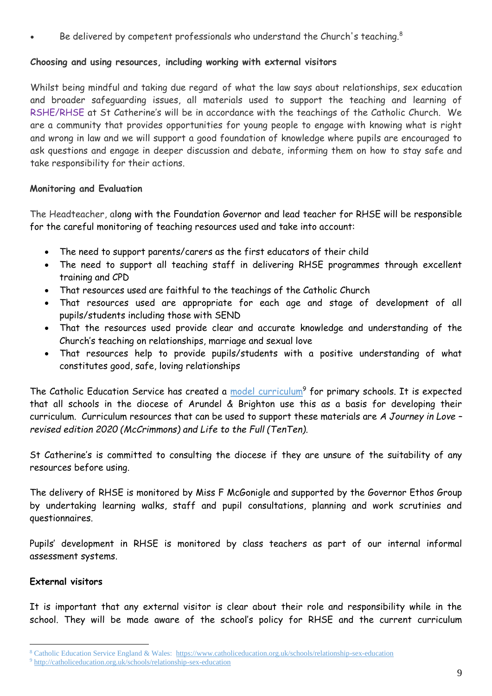Be delivered by competent professionals who understand the Church's teaching.<sup>8</sup>

# **Choosing and using resources, including working with external visitors**

Whilst being mindful and taking due regard of what the law says about relationships, sex education and broader safeguarding issues, all materials used to support the teaching and learning of RSHE/RHSE at St Catherine's will be in accordance with the teachings of the Catholic Church. We are a community that provides opportunities for young people to engage with knowing what is right and wrong in law and we will support a good foundation of knowledge where pupils are encouraged to ask questions and engage in deeper discussion and debate, informing them on how to stay safe and take responsibility for their actions.

# **Monitoring and Evaluation**

The Headteacher, along with the Foundation Governor and lead teacher for RHSE will be responsible for the careful monitoring of teaching resources used and take into account:

- The need to support parents/carers as the first educators of their child
- The need to support all teaching staff in delivering RHSE programmes through excellent training and CPD
- That resources used are faithful to the teachings of the Catholic Church
- That resources used are appropriate for each age and stage of development of all pupils/students including those with SEND
- That the resources used provide clear and accurate knowledge and understanding of the Church's teaching on relationships, marriage and sexual love
- That resources help to provide pupils/students with a positive understanding of what constitutes good, safe, loving relationships

The Catholic Education Service has created a [model curriculum](http://catholiceducation.org.uk/schools/relationship-sex-education)<sup>9</sup> for primary schools. It is expected that all schools in the diocese of Arundel & Brighton use this as a basis for developing their curriculum. Curriculum resources that can be used to support these materials are *A Journey in Love – revised edition 2020 (McCrimmons) and Life to the Full (TenTen)*.

St Catherine's is committed to consulting the diocese if they are unsure of the suitability of any resources before using.

The delivery of RHSE is monitored by Miss F McGonigle and supported by the Governor Ethos Group by undertaking learning walks, staff and pupil consultations, planning and work scrutinies and questionnaires.

Pupils' development in RHSE is monitored by class teachers as part of our internal informal assessment systems.

# **External visitors**

It is important that any external visitor is clear about their role and responsibility while in the school. They will be made aware of the school's policy for RHSE and the current curriculum

<sup>1</sup> 8 Catholic Education Service England & Wales: <https://www.catholiceducation.org.uk/schools/relationship-sex-education>

<sup>9</sup> <http://catholiceducation.org.uk/schools/relationship-sex-education>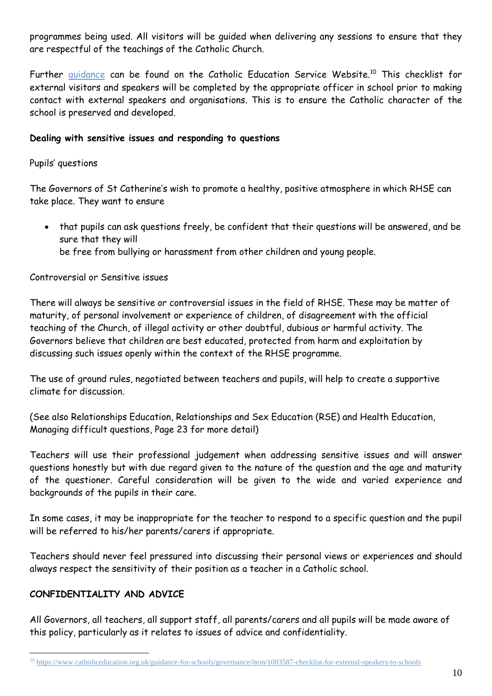programmes being used. All visitors will be guided when delivering any sessions to ensure that they are respectful of the teachings of the Catholic Church.

Further [guidance](https://www.catholiceducation.org.uk/guidance-for-schools/governance/item/1003587-checklist-for-external-speakers-to-schools) can be found on the Catholic Education Service Website.<sup>10</sup> This checklist for external visitors and speakers will be completed by the appropriate officer in school prior to making contact with external speakers and organisations. This is to ensure the Catholic character of the school is preserved and developed.

# **Dealing with sensitive issues and responding to questions**

# Pupils' questions

The Governors of St Catherine's wish to promote a healthy, positive atmosphere in which RHSE can take place. They want to ensure

 that pupils can ask questions freely, be confident that their questions will be answered, and be sure that they will be free from bullying or harassment from other children and young people.

#### Controversial or Sensitive issues

There will always be sensitive or controversial issues in the field of RHSE. These may be matter of maturity, of personal involvement or experience of children, of disagreement with the official teaching of the Church, of illegal activity or other doubtful, dubious or harmful activity. The Governors believe that children are best educated, protected from harm and exploitation by discussing such issues openly within the context of the RHSE programme.

The use of ground rules, negotiated between teachers and pupils, will help to create a supportive climate for discussion.

(See also Relationships Education, Relationships and Sex Education (RSE) and Health Education, Managing difficult questions, Page 23 for more detail)

Teachers will use their professional judgement when addressing sensitive issues and will answer questions honestly but with due regard given to the nature of the question and the age and maturity of the questioner. Careful consideration will be given to the wide and varied experience and backgrounds of the pupils in their care.

In some cases, it may be inappropriate for the teacher to respond to a specific question and the pupil will be referred to his/her parents/carers if appropriate.

Teachers should never feel pressured into discussing their personal views or experiences and should always respect the sensitivity of their position as a teacher in a Catholic school.

# **CONFIDENTIALITY AND ADVICE**

1

All Governors, all teachers, all support staff, all parents/carers and all pupils will be made aware of this policy, particularly as it relates to issues of advice and confidentiality.

<sup>10</sup> <https://www.catholiceducation.org.uk/guidance-for-schools/governance/item/1003587-checklist-for-external-speakers-to-schools>